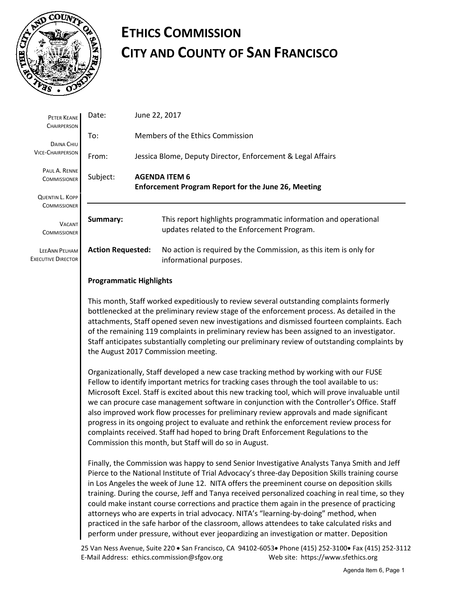

## **ETHICS COMMISSION CITY AND COUNTY OF SAN FRANCISCO**

| PETER KEANE<br><b>CHAIRPERSON</b>                 | Date:                                                                                                                                                                                                                                                                                 |                                                                                    | June 22, 2017                                                                                                  |  |  |
|---------------------------------------------------|---------------------------------------------------------------------------------------------------------------------------------------------------------------------------------------------------------------------------------------------------------------------------------------|------------------------------------------------------------------------------------|----------------------------------------------------------------------------------------------------------------|--|--|
| To:<br><b>DAINA CHIU</b>                          |                                                                                                                                                                                                                                                                                       | Members of the Ethics Commission                                                   |                                                                                                                |  |  |
| <b>VICE-CHAIRPERSON</b>                           | From:                                                                                                                                                                                                                                                                                 | Jessica Blome, Deputy Director, Enforcement & Legal Affairs                        |                                                                                                                |  |  |
| PAUL A. RENNE<br><b>COMMISSIONER</b>              | Subject:                                                                                                                                                                                                                                                                              | <b>AGENDA ITEM 6</b><br><b>Enforcement Program Report for the June 26, Meeting</b> |                                                                                                                |  |  |
| QUENTIN L. KOPP                                   |                                                                                                                                                                                                                                                                                       |                                                                                    |                                                                                                                |  |  |
| <b>COMMISSIONER</b>                               |                                                                                                                                                                                                                                                                                       |                                                                                    |                                                                                                                |  |  |
| <b>VACANT</b><br><b>COMMISSIONER</b>              | Summary:                                                                                                                                                                                                                                                                              |                                                                                    | This report highlights programmatic information and operational<br>updates related to the Enforcement Program. |  |  |
| <b>LEEANN PELHAM</b><br><b>EXECUTIVE DIRECTOR</b> | <b>Action Requested:</b>                                                                                                                                                                                                                                                              |                                                                                    | No action is required by the Commission, as this item is only for<br>informational purposes.                   |  |  |
|                                                   | <b>Programmatic Highlights</b>                                                                                                                                                                                                                                                        |                                                                                    |                                                                                                                |  |  |
|                                                   | This month, Staff worked expeditiously to review several outstanding complaints formerly<br>bottlenecked at the preliminary review stage of the enforcement process. As detailed in the<br>attachments. Staff opened seven new investigations and dismissed fourteen complaints. Each |                                                                                    |                                                                                                                |  |  |

attachments, Staff opened seven new investigations and dismissed fourteen complaints. Each of the remaining 119 complaints in preliminary review has been assigned to an investigator. Staff anticipates substantially completing our preliminary review of outstanding complaints by the August 2017 Commission meeting.

Organizationally, Staff developed a new case tracking method by working with our FUSE Fellow to identify important metrics for tracking cases through the tool available to us: Microsoft Excel. Staff is excited about this new tracking tool, which will prove invaluable until we can procure case management software in conjunction with the Controller's Office. Staff also improved work flow processes for preliminary review approvals and made significant progress in its ongoing project to evaluate and rethink the enforcement review process for complaints received. Staff had hoped to bring Draft Enforcement Regulations to the Commission this month, but Staff will do so in August.

Finally, the Commission was happy to send Senior Investigative Analysts Tanya Smith and Jeff Pierce to the National Institute of Trial Advocacy's three-day Deposition Skills training course in Los Angeles the week of June 12. NITA offers the preeminent course on deposition skills training. During the course, Jeff and Tanya received personalized coaching in real time, so they could make instant course corrections and practice them again in the presence of practicing attorneys who are experts in trial advocacy. NITA's "learning-by-doing" method, when practiced in the safe harbor of the classroom, allows attendees to take calculated risks and perform under pressure, without ever jeopardizing an investigation or matter. Deposition

25 Van Ness Avenue, Suite 220 • San Francisco, CA 94102-6053• Phone (415) 252-3100• Fax (415) 252-3112 E-Mail Address: ethics.commission@sfgov.org Web site: https://www.sfethics.org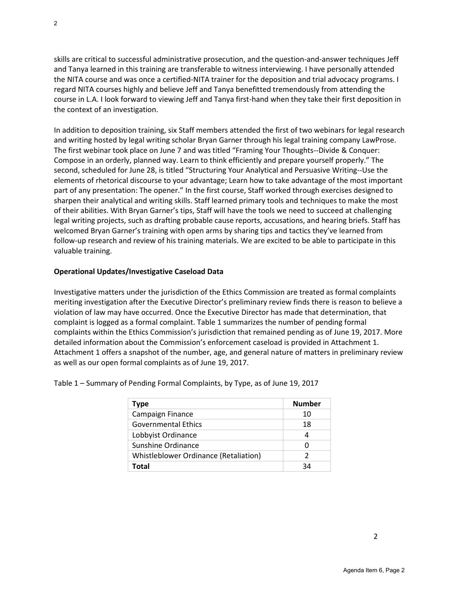skills are critical to successful administrative prosecution, and the question-and-answer techniques Jeff and Tanya learned in this training are transferable to witness interviewing. I have personally attended the NITA course and was once a certified-NITA trainer for the deposition and trial advocacy programs. I regard NITA courses highly and believe Jeff and Tanya benefitted tremendously from attending the course in L.A. I look forward to viewing Jeff and Tanya first-hand when they take their first deposition in the context of an investigation.

In addition to deposition training, six Staff members attended the first of two webinars for legal research and writing hosted by legal writing scholar Bryan Garner through his legal training company LawProse. The first webinar took place on June 7 and was titled "Framing Your Thoughts--Divide & Conquer: Compose in an orderly, planned way. Learn to think efficiently and prepare yourself properly." The second, scheduled for June 28, is titled "Structuring Your Analytical and Persuasive Writing--Use the elements of rhetorical discourse to your advantage; Learn how to take advantage of the most important part of any presentation: The opener." In the first course, Staff worked through exercises designed to sharpen their analytical and writing skills. Staff learned primary tools and techniques to make the most of their abilities. With Bryan Garner's tips, Staff will have the tools we need to succeed at challenging legal writing projects, such as drafting probable cause reports, accusations, and hearing briefs. Staff has welcomed Bryan Garner's training with open arms by sharing tips and tactics they've learned from follow-up research and review of his training materials. We are excited to be able to participate in this valuable training.

## **Operational Updates/Investigative Caseload Data**

Investigative matters under the jurisdiction of the Ethics Commission are treated as formal complaints meriting investigation after the Executive Director's preliminary review finds there is reason to believe a violation of law may have occurred. Once the Executive Director has made that determination, that complaint is logged as a formal complaint. Table 1 summarizes the number of pending formal complaints within the Ethics Commission's jurisdiction that remained pending as of June 19, 2017. More detailed information about the Commission's enforcement caseload is provided in Attachment 1. Attachment 1 offers a snapshot of the number, age, and general nature of matters in preliminary review as well as our open formal complaints as of June 19, 2017.

| Type                                  | <b>Number</b> |
|---------------------------------------|---------------|
| Campaign Finance                      | 10            |
| <b>Governmental Ethics</b>            | 18            |
| Lobbyist Ordinance                    | 4             |
| Sunshine Ordinance                    | 0             |
| Whistleblower Ordinance (Retaliation) | 2             |
| Total                                 | 34            |

Table 1 – Summary of Pending Formal Complaints, by Type, as of June 19, 2017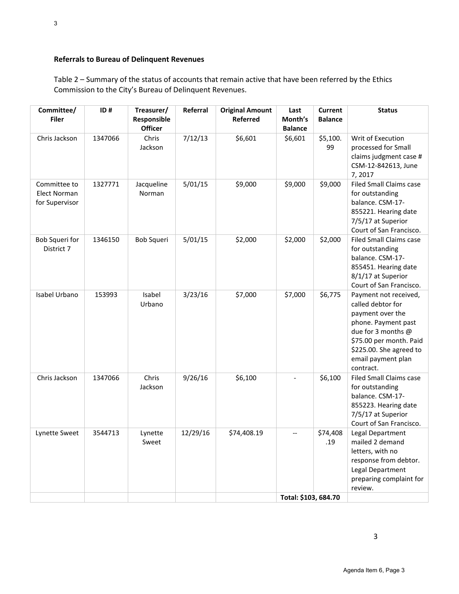## **Referrals to Bureau of Delinquent Revenues**

Table 2 – Summary of the status of accounts that remain active that have been referred by the Ethics Commission to the City's Bureau of Delinquent Revenues.

| Committee/<br><b>Filer</b>                            | ID#     | Treasurer/<br>Responsible<br><b>Officer</b> | Referral | <b>Original Amount</b><br><b>Referred</b> | Last<br>Month's<br><b>Balance</b> | <b>Current</b><br><b>Balance</b> | <b>Status</b>                                                                                                                                                                                        |
|-------------------------------------------------------|---------|---------------------------------------------|----------|-------------------------------------------|-----------------------------------|----------------------------------|------------------------------------------------------------------------------------------------------------------------------------------------------------------------------------------------------|
| Chris Jackson                                         | 1347066 | Chris<br>Jackson                            | 7/12/13  | \$6,601                                   | \$6,601                           | \$5,100.<br>99                   | Writ of Execution<br>processed for Small<br>claims judgment case #<br>CSM-12-842613, June<br>7,2017                                                                                                  |
| Committee to<br><b>Elect Norman</b><br>for Supervisor | 1327771 | Jacqueline<br>Norman                        | 5/01/15  | \$9,000                                   | \$9,000                           | \$9,000                          | <b>Filed Small Claims case</b><br>for outstanding<br>balance. CSM-17-<br>855221. Hearing date<br>7/5/17 at Superior<br>Court of San Francisco.                                                       |
| Bob Squeri for<br>District 7                          | 1346150 | Bob Squeri                                  | 5/01/15  | \$2,000                                   | \$2,000                           | \$2,000                          | <b>Filed Small Claims case</b><br>for outstanding<br>balance. CSM-17-<br>855451. Hearing date<br>8/1/17 at Superior<br>Court of San Francisco.                                                       |
| Isabel Urbano                                         | 153993  | Isabel<br>Urbano                            | 3/23/16  | \$7,000                                   | \$7,000                           | \$6,775                          | Payment not received,<br>called debtor for<br>payment over the<br>phone. Payment past<br>due for 3 months @<br>\$75.00 per month. Paid<br>\$225.00. She agreed to<br>email payment plan<br>contract. |
| Chris Jackson                                         | 1347066 | Chris<br>Jackson                            | 9/26/16  | \$6,100                                   |                                   | \$6,100                          | <b>Filed Small Claims case</b><br>for outstanding<br>balance. CSM-17-<br>855223. Hearing date<br>7/5/17 at Superior<br>Court of San Francisco.                                                       |
| Lynette Sweet                                         | 3544713 | Lynette<br>Sweet                            | 12/29/16 | \$74,408.19                               | $\overline{\phantom{a}}$          | \$74,408<br>.19                  | Legal Department<br>mailed 2 demand<br>letters, with no<br>response from debtor.<br>Legal Department<br>preparing complaint for<br>review.                                                           |
|                                                       |         |                                             |          |                                           | Total: \$103, 684.70              |                                  |                                                                                                                                                                                                      |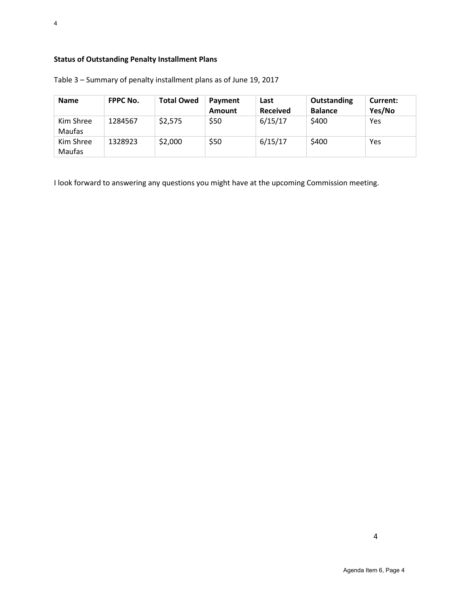| <b>Name</b>                | <b>FPPC No.</b> | <b>Total Owed</b> | Payment<br>Amount | Last<br><b>Received</b> | Outstanding<br><b>Balance</b> | Current:<br>Yes/No |
|----------------------------|-----------------|-------------------|-------------------|-------------------------|-------------------------------|--------------------|
| Kim Shree<br><b>Maufas</b> | 1284567         | \$2,575           | \$50              | 6/15/17                 | \$400                         | Yes                |
| Kim Shree<br><b>Maufas</b> | 1328923         | \$2,000           | \$50              | 6/15/17                 | \$400                         | Yes                |

Table 3 – Summary of penalty installment plans as of June 19, 2017

I look forward to answering any questions you might have at the upcoming Commission meeting.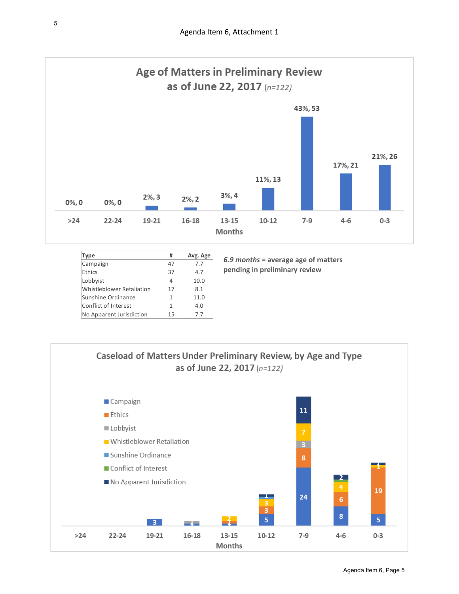

| <b>Type</b>               | #  | Avg. Age |
|---------------------------|----|----------|
| Campaign                  | 47 | 7.7      |
| Ethics                    | 37 | 4.7      |
| Lobbyist                  | 4  | 10.0     |
| Whistleblower Retaliation | 17 | 8.1      |
| Sunshine Ordinance        | 1  | 11.0     |
| Conflict of Interest      | 1  | 4.0      |
| No Apparent Jurisdiction  | 15 | 7.7      |

*6.9 months* **= average age of matters pending in preliminary review**